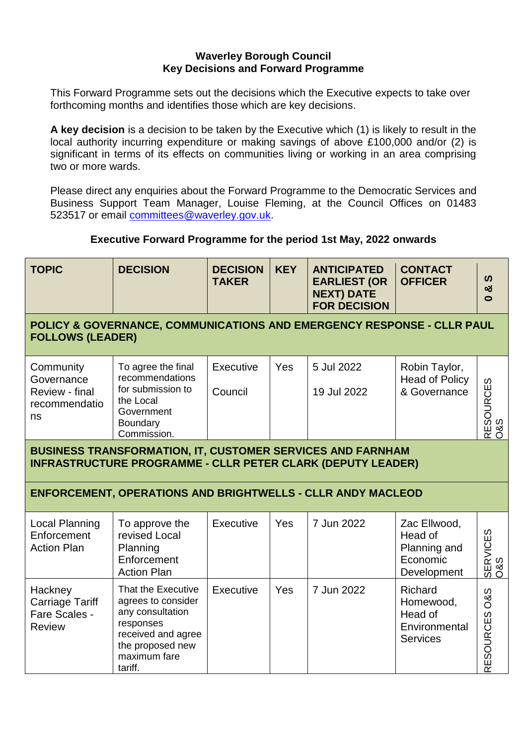#### **Waverley Borough Council Key Decisions and Forward Programme**

This Forward Programme sets out the decisions which the Executive expects to take over forthcoming months and identifies those which are key decisions.

**A key decision** is a decision to be taken by the Executive which (1) is likely to result in the local authority incurring expenditure or making savings of above £100,000 and/or (2) is significant in terms of its effects on communities living or working in an area comprising two or more wards.

Please direct any enquiries about the Forward Programme to the Democratic Services and Business Support Team Manager, Louise Fleming, at the Council Offices on 01483 523517 or email [committees@waverley.gov.uk.](mailto:committees@waverley.gov.uk)

# **Executive Forward Programme for the period 1st May, 2022 onwards**

## **POLICY & GOVERNANCE, COMMUNICATIONS AND EMERGENCY RESPONSE - CLLR PAUL FOLLOWS (LEADER)**

| Community<br>Governance<br>Review - final<br>recommendatio<br>ns | To agree the final<br>recommendations        | <b>Executive</b> | Yes | 5 Jul 2022  | Robin Taylor,<br><b>Head of Policy</b> |                 |
|------------------------------------------------------------------|----------------------------------------------|------------------|-----|-------------|----------------------------------------|-----------------|
|                                                                  | for submission to<br>the Local<br>Government | Council          |     | 19 Jul 2022 | & Governance                           | <b>RCES</b>     |
|                                                                  | Boundary                                     |                  |     |             |                                        | დ დ<br>త        |
|                                                                  | Commission.                                  |                  |     |             |                                        | Ш<br>$\alpha$ O |

#### **BUSINESS TRANSFORMATION, IT, CUSTOMER SERVICES AND FARNHAM INFRASTRUCTURE PROGRAMME - CLLR PETER CLARK (DEPUTY LEADER)**

# **ENFORCEMENT, OPERATIONS AND BRIGHTWELLS - CLLR ANDY MACLEOD**

| Local Planning<br>Enforcement<br><b>Action Plan</b>          | To approve the<br>revised Local<br>Planning<br>Enforcement<br><b>Action Plan</b>                                                               | Executive | Yes | 7 Jun 2022 | Zac Ellwood,<br>Head of<br>Planning and<br>Economic<br>Development         | ഗ<br>SERVICES<br>O&S               |
|--------------------------------------------------------------|------------------------------------------------------------------------------------------------------------------------------------------------|-----------|-----|------------|----------------------------------------------------------------------------|------------------------------------|
| Hackney<br>Carriage Tariff<br>Fare Scales -<br><b>Review</b> | That the Executive<br>agrees to consider<br>any consultation<br>responses<br>received and agree<br>the proposed new<br>maximum fare<br>tariff. | Executive | Yes | 7 Jun 2022 | <b>Richard</b><br>Homewood,<br>Head of<br>Environmental<br><b>Services</b> | <b>O&amp;S</b><br><b>RESOURCES</b> |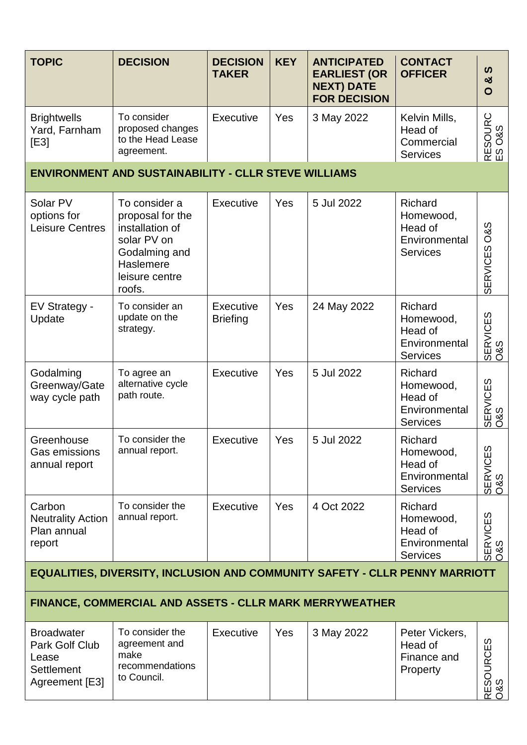| <b>TOPIC</b>                                                                        | <b>DECISION</b>                                                                                                               | <b>DECISION</b><br><b>TAKER</b>     | <b>KEY</b> | <b>ANTICIPATED</b><br><b>EARLIEST (OR</b><br><b>NEXT) DATE</b><br><b>FOR DECISION</b> | <b>CONTACT</b><br><b>OFFICER</b>                                           | <b>SV</b><br>ఱ<br>O               |  |  |
|-------------------------------------------------------------------------------------|-------------------------------------------------------------------------------------------------------------------------------|-------------------------------------|------------|---------------------------------------------------------------------------------------|----------------------------------------------------------------------------|-----------------------------------|--|--|
| <b>Brightwells</b><br>Yard, Farnham<br>[E3]                                         | To consider<br>proposed changes<br>to the Head Lease<br>agreement.                                                            | <b>Executive</b>                    | Yes        | 3 May 2022                                                                            | Kelvin Mills,<br>Head of<br>Commercial<br><b>Services</b>                  | RESOURC<br>ES O&S                 |  |  |
|                                                                                     | <b>ENVIRONMENT AND SUSTAINABILITY - CLLR STEVE WILLIAMS</b>                                                                   |                                     |            |                                                                                       |                                                                            |                                   |  |  |
| Solar PV<br>options for<br><b>Leisure Centres</b>                                   | To consider a<br>proposal for the<br>installation of<br>solar PV on<br>Godalming and<br>Haslemere<br>leisure centre<br>roofs. | Executive                           | <b>Yes</b> | 5 Jul 2022                                                                            | Richard<br>Homewood,<br>Head of<br>Environmental<br><b>Services</b>        | <b>O&amp;S</b><br><b>SERVICES</b> |  |  |
| EV Strategy -<br>Update                                                             | To consider an<br>update on the<br>strategy.                                                                                  | <b>Executive</b><br><b>Briefing</b> | Yes        | 24 May 2022                                                                           | <b>Richard</b><br>Homewood,<br>Head of<br>Environmental<br><b>Services</b> | <b>SERVICES</b><br>08S            |  |  |
| Godalming<br>Greenway/Gate<br>way cycle path                                        | To agree an<br>alternative cycle<br>path route.                                                                               | <b>Executive</b>                    | Yes        | 5 Jul 2022                                                                            | Richard<br>Homewood,<br>Head of<br>Environmental<br><b>Services</b>        | <b>SERVICES</b><br>08S            |  |  |
| Greenhouse<br>Gas emissions<br>annual report                                        | To consider the<br>annual report.                                                                                             | <b>Executive</b>                    | Yes        | 5 Jul 2022                                                                            | Richard<br>Homewood,<br>Head of<br>Environmental<br><b>Services</b>        | SERVICES<br>0&S                   |  |  |
| Carbon<br><b>Neutrality Action</b><br>Plan annual<br>report                         | To consider the<br>annual report.                                                                                             | <b>Executive</b>                    | Yes        | 4 Oct 2022                                                                            | Richard<br>Homewood,<br>Head of<br>Environmental<br><b>Services</b>        | SERVICES<br>O&S                   |  |  |
| <b>EQUALITIES, DIVERSITY, INCLUSION AND COMMUNITY SAFETY - CLLR PENNY MARRIOTT</b>  |                                                                                                                               |                                     |            |                                                                                       |                                                                            |                                   |  |  |
| <b>FINANCE, COMMERCIAL AND ASSETS - CLLR MARK MERRYWEATHER</b>                      |                                                                                                                               |                                     |            |                                                                                       |                                                                            |                                   |  |  |
| <b>Broadwater</b><br>Park Golf Club<br>Lease<br><b>Settlement</b><br>Agreement [E3] | To consider the<br>agreement and<br>make<br>recommendations<br>to Council.                                                    | Executive                           | Yes        | 3 May 2022                                                                            | Peter Vickers,<br>Head of<br>Finance and<br>Property                       | RESOURCES<br>O&S                  |  |  |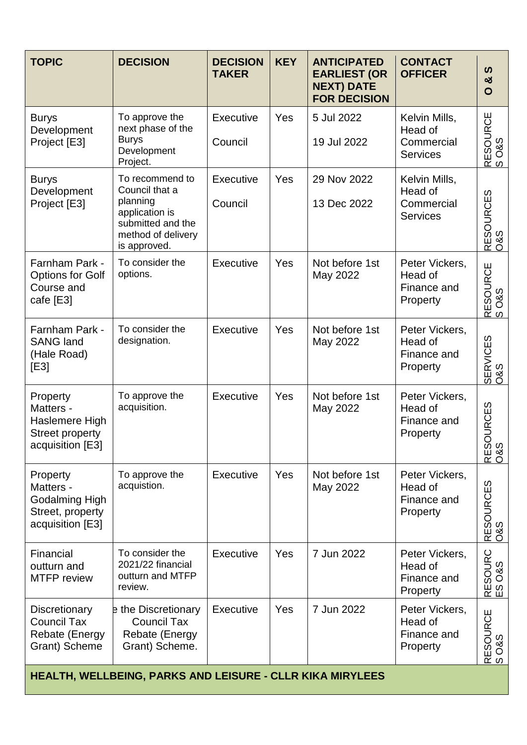| <b>TOPIC</b>                                                                          | <b>DECISION</b>                                                                                                            | <b>DECISION</b><br><b>TAKER</b> | <b>KEY</b> | <b>ANTICIPATED</b><br><b>EARLIEST (OR</b><br><b>NEXT) DATE</b><br><b>FOR DECISION</b> | <b>CONTACT</b><br><b>OFFICER</b>                          | ທ<br>ఱ<br>$\mathbf{O}$ |
|---------------------------------------------------------------------------------------|----------------------------------------------------------------------------------------------------------------------------|---------------------------------|------------|---------------------------------------------------------------------------------------|-----------------------------------------------------------|------------------------|
| <b>Burys</b><br>Development<br>Project [E3]                                           | To approve the<br>next phase of the<br><b>Burys</b><br>Development<br>Project.                                             | Executive<br>Council            | Yes        | 5 Jul 2022<br>19 Jul 2022                                                             | Kelvin Mills,<br>Head of<br>Commercial<br><b>Services</b> | RESOURCE<br>S O&S      |
| <b>Burys</b><br>Development<br>Project [E3]                                           | To recommend to<br>Council that a<br>planning<br>application is<br>submitted and the<br>method of delivery<br>is approved. | Executive<br>Council            | Yes        | 29 Nov 2022<br>13 Dec 2022                                                            | Kelvin Mills,<br>Head of<br>Commercial<br><b>Services</b> | RESOURCES<br>0&S       |
| Farnham Park -<br><b>Options for Golf</b><br>Course and<br>cafe [E3]                  | To consider the<br>options.                                                                                                | Executive                       | Yes        | Not before 1st<br>May 2022                                                            | Peter Vickers,<br>Head of<br>Finance and<br>Property      | RESOURCE<br>S O&S      |
| Farnham Park -<br><b>SANG land</b><br>(Hale Road)<br>[E3]                             | To consider the<br>designation.                                                                                            | Executive                       | Yes        | Not before 1st<br>May 2022                                                            | Peter Vickers,<br>Head of<br>Finance and<br>Property      | SERVICES<br>0&S        |
| Property<br>Matters -<br>Haslemere High<br><b>Street property</b><br>acquisition [E3] | To approve the<br>acquisition.                                                                                             | Executive                       | Yes        | Not before 1st<br>May 2022                                                            | Peter Vickers,<br>Head of<br>Finance and<br>Property      | RESOURCES<br>O&S       |
| Property<br>Matters -<br>Godalming High<br>Street, property<br>acquisition [E3]       | To approve the<br>acquistion.                                                                                              | Executive                       | Yes        | Not before 1st<br>May 2022                                                            | Peter Vickers,<br>Head of<br>Finance and<br>Property      | RESOURCES<br>0&S       |
| Financial<br>outturn and<br><b>MTFP</b> review                                        | To consider the<br>2021/22 financial<br>outturn and MTFP<br>review.                                                        | Executive                       | Yes        | 7 Jun 2022                                                                            | Peter Vickers,<br>Head of<br>Finance and<br>Property      | RESOURC<br>ES O&S      |
| Discretionary<br><b>Council Tax</b><br><b>Rebate (Energy</b><br>Grant) Scheme         | e the Discretionary<br><b>Council Tax</b><br>Rebate (Energy<br>Grant) Scheme.                                              | Executive                       | Yes        | 7 Jun 2022                                                                            | Peter Vickers,<br>Head of<br>Finance and<br>Property      | RESOURCE<br>S O&S      |

**HEALTH, WELLBEING, PARKS AND LEISURE - CLLR KIKA MIRYLEES**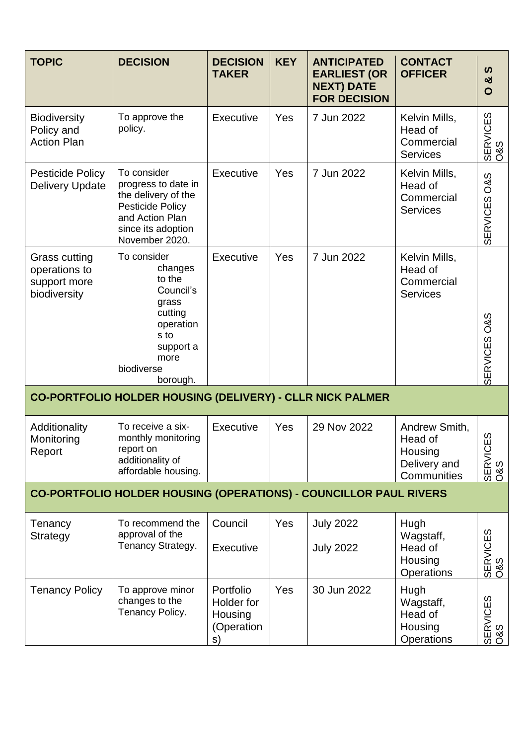| <b>TOPIC</b>                                                             | <b>DECISION</b>                                                                                                                          | <b>DECISION</b><br><b>TAKER</b>                        | <b>KEY</b> | <b>ANTICIPATED</b><br><b>EARLIEST (OR</b><br><b>NEXT) DATE</b><br><b>FOR DECISION</b> | <b>CONTACT</b><br><b>OFFICER</b>                                   | ທ<br>ಯ<br>$\mathbf{O}$            |  |  |
|--------------------------------------------------------------------------|------------------------------------------------------------------------------------------------------------------------------------------|--------------------------------------------------------|------------|---------------------------------------------------------------------------------------|--------------------------------------------------------------------|-----------------------------------|--|--|
| <b>Biodiversity</b><br>Policy and<br><b>Action Plan</b>                  | To approve the<br>policy.                                                                                                                | Executive                                              | Yes        | 7 Jun 2022                                                                            | Kelvin Mills,<br>Head of<br>Commercial<br><b>Services</b>          | SERVICES<br>O&S                   |  |  |
| Pesticide Policy<br><b>Delivery Update</b>                               | To consider<br>progress to date in<br>the delivery of the<br>Pesticide Policy<br>and Action Plan<br>since its adoption<br>November 2020. | Executive                                              | Yes        | 7 Jun 2022                                                                            | Kelvin Mills,<br>Head of<br>Commercial<br><b>Services</b>          | <b>O&amp;S</b><br><b>SERVICES</b> |  |  |
| Grass cutting<br>operations to<br>support more<br>biodiversity           | To consider<br>changes<br>to the<br>Council's<br>grass<br>cutting                                                                        | Executive                                              | Yes        | 7 Jun 2022                                                                            | Kelvin Mills,<br>Head of<br>Commercial<br><b>Services</b>          |                                   |  |  |
|                                                                          | operation<br>s to<br>support a<br>more<br>biodiverse<br>borough.                                                                         |                                                        |            |                                                                                       |                                                                    | SERVICES O&S                      |  |  |
|                                                                          | CO-PORTFOLIO HOLDER HOUSING (DELIVERY) - CLLR NICK PALMER                                                                                |                                                        |            |                                                                                       |                                                                    |                                   |  |  |
| Additionality<br>Monitoring<br>Report                                    | To receive a six-<br>monthly monitoring<br>report on<br>additionality of<br>affordable housing.                                          | Executive                                              | Yes        | 29 Nov 2022                                                                           | Andrew Smith,<br>Head of<br>Housing<br>Delivery and<br>Communities | 63<br>SERVICI<br>O&S              |  |  |
| <b>CO-PORTFOLIO HOLDER HOUSING (OPERATIONS) - COUNCILLOR PAUL RIVERS</b> |                                                                                                                                          |                                                        |            |                                                                                       |                                                                    |                                   |  |  |
| Tenancy<br>Strategy                                                      | To recommend the<br>approval of the<br>Tenancy Strategy.                                                                                 | Council<br>Executive                                   | Yes        | <b>July 2022</b><br><b>July 2022</b>                                                  | Hugh<br>Wagstaff,<br>Head of<br>Housing<br><b>Operations</b>       | SERVICES<br>O&S                   |  |  |
| <b>Tenancy Policy</b>                                                    | To approve minor<br>changes to the<br>Tenancy Policy.                                                                                    | Portfolio<br>Holder for<br>Housing<br>(Operation<br>s) | Yes        | 30 Jun 2022                                                                           | Hugh<br>Wagstaff,<br>Head of<br>Housing<br><b>Operations</b>       | SERVICES<br>0&S                   |  |  |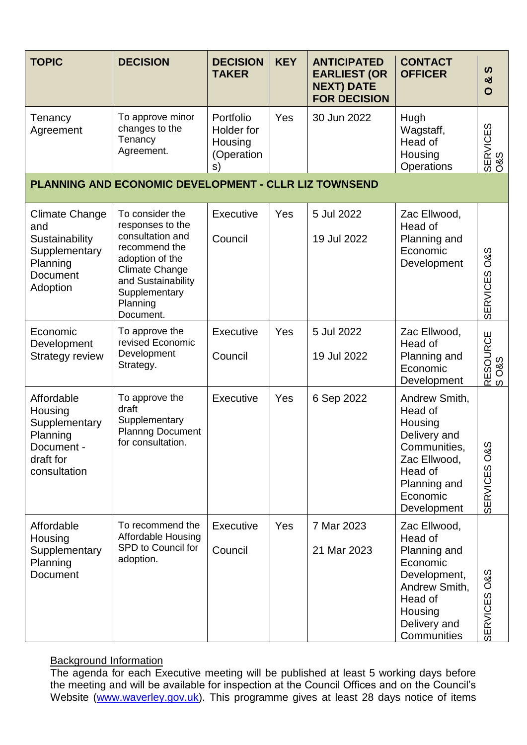| <b>TOPIC</b>                                                                                        | <b>DECISION</b>                                                                                                                                                                      | <b>DECISION</b><br><b>TAKER</b>                        | <b>KEY</b> | <b>ANTICIPATED</b><br><b>EARLIEST (OR</b><br><b>NEXT) DATE</b><br><b>FOR DECISION</b> | <b>CONTACT</b><br><b>OFFICER</b>                                                                                                          | ທ<br>ಯ<br>$\mathbf O$             |
|-----------------------------------------------------------------------------------------------------|--------------------------------------------------------------------------------------------------------------------------------------------------------------------------------------|--------------------------------------------------------|------------|---------------------------------------------------------------------------------------|-------------------------------------------------------------------------------------------------------------------------------------------|-----------------------------------|
| Tenancy<br>Agreement                                                                                | To approve minor<br>changes to the<br>Tenancy<br>Agreement.                                                                                                                          | Portfolio<br>Holder for<br>Housing<br>(Operation<br>s) | Yes        | 30 Jun 2022                                                                           | Hugh<br>Wagstaff,<br>Head of<br>Housing<br>Operations                                                                                     | SERVICES<br>0&S                   |
|                                                                                                     | <b>PLANNING AND ECONOMIC DEVELOPMENT - CLLR LIZ TOWNSEND</b>                                                                                                                         |                                                        |            |                                                                                       |                                                                                                                                           |                                   |
| <b>Climate Change</b><br>and<br>Sustainability<br>Supplementary<br>Planning<br>Document<br>Adoption | To consider the<br>responses to the<br>consultation and<br>recommend the<br>adoption of the<br><b>Climate Change</b><br>and Sustainability<br>Supplementary<br>Planning<br>Document. | Executive<br>Council                                   | Yes        | 5 Jul 2022<br>19 Jul 2022                                                             | Zac Ellwood,<br>Head of<br>Planning and<br>Economic<br>Development                                                                        | <b>O&amp;S</b><br><b>SERVICES</b> |
| Economic<br>Development<br><b>Strategy review</b>                                                   | To approve the<br>revised Economic<br>Development<br>Strategy.                                                                                                                       | Executive<br>Council                                   | Yes        | 5 Jul 2022<br>19 Jul 2022                                                             | Zac Ellwood,<br>Head of<br>Planning and<br>Economic<br>Development                                                                        | ESOURCE<br><b>O&amp;S</b><br>∝ ຜ  |
| Affordable<br>Housing<br>Supplementary<br>Planning<br>Document .<br>draft for<br>consultation       | To approve the<br>draft<br>Supplementary<br><b>Plannng Document</b><br>for consultation.                                                                                             | Executive                                              | Yes        | 6 Sep 2022                                                                            | Andrew Smith,<br>Head of<br>Housing<br>Delivery and<br>Communities,<br>Zac Ellwood,<br>Head of<br>Planning and<br>Economic<br>Development | ഗ<br>ර<br>ර<br><b>SERVICES</b>    |
| Affordable<br>Housing<br>Supplementary<br>Planning<br>Document                                      | To recommend the<br><b>Affordable Housing</b><br>SPD to Council for<br>adoption.                                                                                                     | <b>Executive</b><br>Council                            | Yes        | 7 Mar 2023<br>21 Mar 2023                                                             | Zac Ellwood,<br>Head of<br>Planning and<br>Economic<br>Development,<br>Andrew Smith,<br>Head of<br>Housing<br>Delivery and<br>Communities | SERVICES O&S                      |

## **Background Information**

The agenda for each Executive meeting will be published at least 5 working days before the meeting and will be available for inspection at the Council Offices and on the Council's Website [\(www.waverley.gov.uk\)](http://www.waverley.gov.uk/). This programme gives at least 28 days notice of items